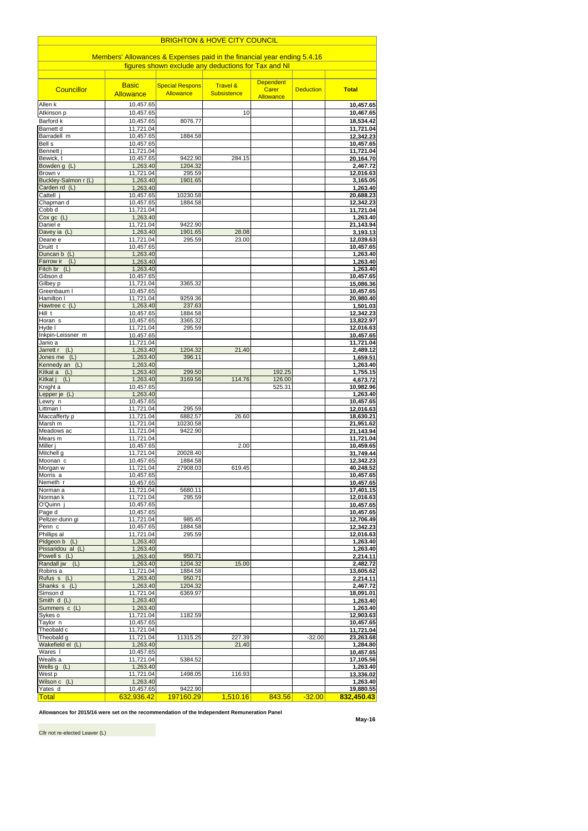| <b>BRIGHTON &amp; HOVE CITY COUNCIL</b>                                 |                                       |                                     |                                           |                                        |                  |                        |  |  |  |
|-------------------------------------------------------------------------|---------------------------------------|-------------------------------------|-------------------------------------------|----------------------------------------|------------------|------------------------|--|--|--|
| Members' Allowances & Expenses paid in the financial year ending 5.4.16 |                                       |                                     |                                           |                                        |                  |                        |  |  |  |
| figures shown exclude any deductions for Tax and NI                     |                                       |                                     |                                           |                                        |                  |                        |  |  |  |
| <b>Councillor</b>                                                       | <b>Basic</b><br><b>Allowance</b>      | <b>Special Respons</b><br>Allowance | <b>Travel &amp;</b><br><b>Subsistence</b> | <b>Dependent</b><br>Carer<br>Allowance | <b>Deduction</b> | <b>Total</b>           |  |  |  |
| Allen k                                                                 | 10,457.65                             |                                     |                                           |                                        |                  | 10,457.65              |  |  |  |
| Atkinson p                                                              | 10,457.65                             |                                     | 10                                        |                                        |                  | 10,467.65              |  |  |  |
| Barford k<br><b>Barnett d</b>                                           | 10,457.65<br>11,721.04                | 8076.77                             |                                           |                                        |                  | 18,534.42<br>11,721.04 |  |  |  |
| Barradell m                                                             | 10,457.65                             | 1884.58                             |                                           |                                        |                  | 12,342.23              |  |  |  |
| Bell s                                                                  | 10,457.65                             |                                     |                                           |                                        |                  | 10,457.65              |  |  |  |
| Bennett<br>Bewick, t                                                    | 11,721.04<br>10,457.65                | 9422.90                             | 284.15                                    |                                        |                  | 11,721.04<br>20,164.70 |  |  |  |
| Bowden g (L)                                                            | 1,263.40                              | 1204.32                             |                                           |                                        |                  | 2,467.72               |  |  |  |
| Brown v                                                                 | 11,721.04                             | 295.59                              |                                           |                                        |                  | 12,016.63              |  |  |  |
| Buckley-Salmon r (L)<br>Carden rd (L)                                   | 1,263.40<br>1,263.40                  | 1901.65                             |                                           |                                        |                  | 3,165.05<br>1,263.40   |  |  |  |
| Cattell j                                                               | 10,457.65                             | 10230.58                            |                                           |                                        |                  | 20,688.23              |  |  |  |
| Chapman d                                                               | 10,457.65                             | 1884.58                             |                                           |                                        |                  | 12,342.23              |  |  |  |
| Cobb d<br>$Cox$ gc $(L)$                                                | 11,721.04<br>1,263.40                 |                                     |                                           |                                        |                  | 11,721.04<br>1,263.40  |  |  |  |
| Daniel e                                                                | 11,721.04                             | 9422.90                             |                                           |                                        |                  | 21,143.94              |  |  |  |
| Davey ia (L)                                                            | 1,263.40                              | 1901.65                             | 28.08                                     |                                        |                  | 3,193.13               |  |  |  |
| Deane e<br>Druitt t                                                     | 11,721.04<br>10,457.65                | 295.59                              | 23.00                                     |                                        |                  | 12,039.63<br>10,457.65 |  |  |  |
| (L)<br>Duncan b                                                         | 1,263.40                              |                                     |                                           |                                        |                  | 1,263.40               |  |  |  |
| Farrow ir<br>(L)                                                        | 1,263.40<br>1,263.40                  |                                     |                                           |                                        |                  | 1,263.40               |  |  |  |
| Fitch br (L)<br>Gibson d                                                | 10,457.65                             |                                     |                                           |                                        |                  | 1,263.40<br>10,457.65  |  |  |  |
| Gilbey p                                                                | 11,721.04                             | 3365.32                             |                                           |                                        |                  | 15,086.36              |  |  |  |
| Greenbaum I<br>Hamilton I                                               | 10,457.65                             |                                     |                                           |                                        |                  | 10,457.65              |  |  |  |
| Hawtree c (L)                                                           | 11,721.04<br>1,263.40                 | 9259.36<br>237.63                   |                                           |                                        |                  | 20,980.40<br>1,501.03  |  |  |  |
| $Hill$ <sub>t</sub>                                                     | 10,457.65                             | 1884.58                             |                                           |                                        |                  | 12,342.23              |  |  |  |
| Horan s<br>Hyde I                                                       | 10,457.65                             | 3365.32                             |                                           |                                        |                  | 13,822.97              |  |  |  |
| Inkpin-Leissner m                                                       | 11,721.04<br>$\overline{10}$ , 457.65 | 295.59                              |                                           |                                        |                  | 12,016.63<br>10,457.65 |  |  |  |
| Janio a                                                                 | 11,721.04                             |                                     |                                           |                                        |                  | 11,721.04              |  |  |  |
| Jarrett r (L)<br>Jones me $(L)$                                         | 1,263.40<br>1,263.40                  | 1204.32                             | 21.40                                     |                                        |                  | 2,489.12               |  |  |  |
| Kennedy an (L)                                                          | 1,263.40                              | 396.11                              |                                           |                                        |                  | 1,659.51<br>1,263.40   |  |  |  |
| Kitkat a<br>(L)                                                         | 1,263.40                              | 299.50                              |                                           | 192.25                                 |                  | 1,755.15               |  |  |  |
| Kitkat j<br>(L)<br>Knight a                                             | 1,263.40<br>10,457.65                 | 3169.56                             | 114.76                                    | 126.00<br>525.31                       |                  | 4,673.72               |  |  |  |
| Lepper je (L)                                                           | 1,263.40                              |                                     |                                           |                                        |                  | 10,982.96<br>1,263.40  |  |  |  |
| Lewry n                                                                 | 10,457.65                             |                                     |                                           |                                        |                  | 10,457.65              |  |  |  |
| Littman I<br>Maccafferty p                                              | 11,721.04<br>11,721.04                | 295.59<br>6882.57                   | 26.60                                     |                                        |                  | 12,016.63<br>18,630.21 |  |  |  |
| Marsh m                                                                 | 11,721.04                             | 10230.58                            |                                           |                                        |                  | 21,951.62              |  |  |  |
| Meadows ac                                                              | 11,721.04                             | 9422.90                             |                                           |                                        |                  | 21,143.94              |  |  |  |
| Mears m<br>Miller j                                                     | 11,721.04<br>10,457.65                |                                     | 2.00                                      |                                        |                  | 11,721.04<br>10,459.65 |  |  |  |
| Mitchell g                                                              | 11,721.04                             | 20028.40                            |                                           |                                        |                  | 31,749.44              |  |  |  |
| Moonan c                                                                | 10,457.65                             | 1884.58                             |                                           |                                        |                  | 12,342.23              |  |  |  |
| Morgan w<br>Morris a                                                    | 11,721.04<br>10,457.65                | 27908.03                            | 619.45                                    |                                        |                  | 40,248.52<br>10,457.65 |  |  |  |
| Nemeth r                                                                | 10,457.65                             |                                     |                                           |                                        |                  | 10,457.65              |  |  |  |
| Norman a                                                                | 11,721.04                             | 5680.11                             |                                           |                                        |                  | 17,401.15              |  |  |  |
| Norman k<br>O'Quinn                                                     | 11,721.04<br>10,457.65                | 295.59                              |                                           |                                        |                  | 12,016.63<br>10,457.65 |  |  |  |
| Page d                                                                  | 10,457.65                             |                                     |                                           |                                        |                  | 10,457.65              |  |  |  |
| Peltzer-dunn gi                                                         | 11,721.04                             | 985.45                              |                                           |                                        |                  | 12,706.49              |  |  |  |
| Penn c<br>Phillips al                                                   | 10,457.65<br>11,721.04                | 1884.58<br>295.59                   |                                           |                                        |                  | 12,342.23<br>12,016.63 |  |  |  |
| Pidgeon b (L)                                                           | 1,263.40                              |                                     |                                           |                                        |                  | 1,263.40               |  |  |  |
| Pissaridou al (L)                                                       | 1,263.40                              |                                     |                                           |                                        |                  | 1,263.40               |  |  |  |
| Powell s (L)                                                            | 1,263.40                              | 950.71<br>1204.32                   | 15.00                                     |                                        |                  | 2,214.11               |  |  |  |
| Randall jw (L)<br>Robins a                                              | 1,263.40<br>11,721.04                 | 1884.58                             |                                           |                                        |                  | 2,482.72<br>13,605.62  |  |  |  |
| Rufus s (L)                                                             | 1,263.40                              | 950.71                              |                                           |                                        |                  | 2,214.11               |  |  |  |
| Shanks s (L)<br>Simson d                                                | 1,263.40<br>11,721.04                 | 1204.32                             |                                           |                                        |                  | 2,467.72               |  |  |  |
| Smith d (L)                                                             | 1,263.40                              | 6369.97                             |                                           |                                        |                  | 18,091.01<br>1,263.40  |  |  |  |
| Summers c (L)                                                           | 1,263.40                              |                                     |                                           |                                        |                  | 1,263.40               |  |  |  |
| Sykes o                                                                 | 11,721.04                             | 1182.59                             |                                           |                                        |                  | 12,903.63              |  |  |  |
| Taylor <sub>n</sub><br>Theobald c                                       | 10,457.65<br>11,721.04                |                                     |                                           |                                        |                  | 10,457.65<br>11,721.04 |  |  |  |
| Theobald g                                                              | 11,721.04                             | 11315.25                            | 227.39                                    |                                        | $-32.00$         | 23,263.68              |  |  |  |
| Wakefield el (L)                                                        | 1,263.40                              |                                     | 21.40                                     |                                        |                  | 1,284.80               |  |  |  |
| Wares I<br>Wealls a                                                     | 10,457.65<br>11,721.04                | 5384.52                             |                                           |                                        |                  | 10,457.65<br>17,105.56 |  |  |  |
| Wells $g(L)$                                                            | 1,263.40                              |                                     |                                           |                                        |                  | 1,263.40               |  |  |  |
| West p<br>Wilson c (L)                                                  | 11,721.04                             | 1498.05                             | 116.93                                    |                                        |                  | 13,336.02              |  |  |  |
| Yates d                                                                 | 1,263.40<br>10,457.65                 | 9422.90                             |                                           |                                        |                  | 1,263.40<br>19,880.55  |  |  |  |
| <b>Total</b>                                                            | 632,936.42                            | 197160.29                           | 1,510.16                                  | 843.56                                 | $-32.00$         | 832,450.43             |  |  |  |

Allowances for 2015/16 were set on the recommendation of the Independent Remuneration Panel

May-16

Cllr not re-elected Leaver (L)